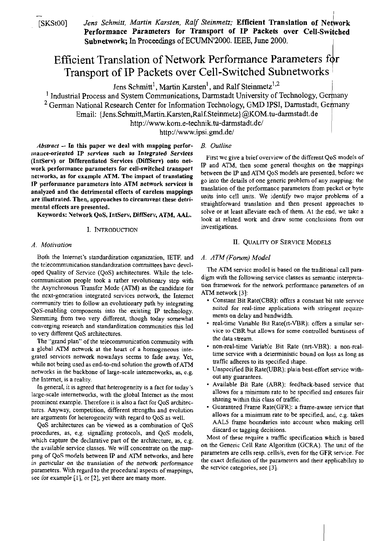[SKSt00]

*Jens Schmitt, Martin Karsten, Ralf Steinmetz; Efficient Translation of Network* **Jens Schmitt, Martin Karsten, Ralf Steinmetz; Efficient Translation of Network**<br>Performance Parameters for Transport of IP Packets over Cell-Switched<br>And I De Le CECUDOU2000 FEEL Ince 2000 Subnetwork; In Proceedings of ECUMN'2000. IEEE, June 2000.

# Efficient Translation of Network Performance Parameters fdr I Transport of IP Packets over Cell-Switched Subnetworks -

Jens Schmitt<sup>1</sup>, Martin Karsten<sup>1</sup>, and Ralf Steinmetz<sup>1,2</sup>

 $<sup>1</sup>$  Industrial Process and System Communications, Darmstadt University of Technology, Germany</sup>

<sup>2</sup> German National Research Center for Information Technology, GMD IPSI, Darmstadt, Germany

Email: {Jens.Schmitt,Martin.Karsten,Ralf.Steimetz}@KOM.tu-darmstadt.de

**http://www.kom.e-technik.tu-darmstadt.de/** 

http://www.ipsi.gmd.de/

 $Abstract - In this paper we deal with mapping perform$ mance-oriented IP services such as Integrated Services (IntServ) or Differentiated Services (DiffServ) onto network performance parameters for cell-switched transport networks, as for erample ATM. The impact of translating IP performance parameters into ATM network services is analyzed and the detrimental effects of careless mappings are illustrated. Then, approaches to circumvent these detrimental effects are presented.

Keywords: Yetwork QoS, IntServ, DiffServ, ATM, AAL.

# I. INTRODUCTION investigations.

Both the Intemet's standardization organization, IETF, and the telecommunication standardization committees have developed Quality of Service (QoS) architectures. N'hile the telecommunication people took a rather revolutionary step with the Asynchronous Transfer Mode (ATM) as the candidate for the next-generation integrated services network, the Intemet community iries to follow an evolutionary path by integrating QoS-enabling components into the existing IP technology. Stemming from two very different, though today somewhat converging researcb and standardization communities this led to very different QoS architectures.

The "grand plan" of the telecommunication community with a global ATM nctwork at the heart of a homogeneous integrated services network nowadays seems to fade away. Yet, while not being used as end-to-end solution the growth of ATM networks in the backbone of large-scale intemctworks, as, e.g. the Intemet, is a reality.

In general, it is agreed that heterogeneity is a fact for today's large-scale intemetworks, with the global Intemet as the most prominent example. Therefore it is also a fact for QoS architectures. Anyway, competition, different strengths and evolution are arguments for heterogeneity with regard to QoS as well.

QoS architectures can be viewed as a combination of QoS procedures, as, e.g. signaIling protocols, and QoS models, which capture the declarative part of the architecture, as, e.g. the available service classes. We wiU concentrate on the mappmg of QoS models between IP and ATM networks, and here in particular on *the* translation of the network perfonnance parameters. With regard to the procedural aspects of mappings, see for example [I], ar [2], yet there are many more.

#### *B. Outline*

First we give abrief overview of the different QoS models of IP and ATM, then some general thoughts on the mappings between the **iP** and ATM QoS models are presented, before we go into the details of one generic problem of any niapping: the translation of the perfonnance parameters from packet or byte units into cell units. We identify two major problems of a straightfonvard translation and then present approaches to solve or at least alleviate each of them. At the end, we take a look at related work and draw some conclusions from our

 $\mathsf{I}$ 

# *A. Motivation* **11.** QUALITY OF SERVICE MODELS

## *A. ATM (Forum) Model*

The ATM service model is based on the traditional call paradigm with the following service classes as semantic interpretation framework for the network perfonnance parameters of an ATM network **[3]:** 

- Constant Bit Rate(CBR): offers a constant bit rate service suited for real-time applications with stringent requirements on delay and bandwidth.
- real-time Variable Bit Rate(fi-VER): offers a similar service to CBR but allows for some controlled burstiness of the data stream.
- non-real-time Variable Bit Rate (nrt-VBR): a non-realtime service with a deterministic bound on loss as long as traffic adheres to its specified shape.
- Unspecified Bit Rate(UBR): plain best-effort service without any guarantees.
- Available Bit Rate (ABR): feedback-based service that allows for a minimum rate to be specified and ensures fair sharing within this class of traffic.
- Guaranteed Frame Rate(GFR): a frame-aware service that allows for a minirnum rate tobe specified, and, e.g. takes AALS frame boundaries into account when making cell discard or tagging decisions.

Most of these require a traffic specification which is based on the Ceneric Cell Rate Algorithm (GCRA). The unit of the parameters are cells resp. cells/s, even for the GFR service. For the exact definition of the parameters and their applicability to the service categories, sec **[3].**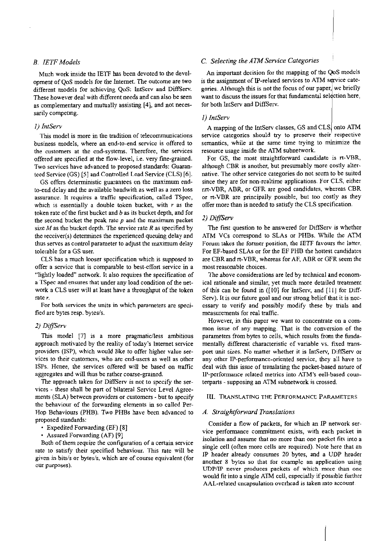Much work inside the IETF has been devoted to the development of QoS models for the Intemet. The outcome are Wo different models for achieving QoS: IntScrv and DiffServ. These however deal with different needs and can also be seen as complementary and mutually assisting **[4],** and not necessarily competing.

#### 1) IntServ

This model is more in the tradition of telecommunications business models, where an end-to-end service is offered to the customers at the end-systems. Therefore, the services offered are specified at the flow-level, i.e. very fme-grained. Two services have advanced to proposed standards: Guarantecd Service (GS) *[5]* and Controlled Load Service (CLS) **[6].** 

GS offers deterministic guarantees on the maximum endto-end delay and the available bandwith as well as a zero loss assurance. It requires a traffic specification, called TSpec, which is essentially a double token bucket, with  $r$  as the token rate of the first bucket and  $b$  as its bucket depth, and for the second bucket the peak rate  $p$  and the maximum packet size  $M$  as the bucket depth. The serviee rate  $R$  as specified by tbe receiver(s) detemines the experienced queuing delay and thus serves as control parameter to adjust the maximum delay tolerable for a GS User.

CLS has a much looser specification which is supposed to offer a service that is comparable to best-effort service in a "lightly loaded" network. It also requires the specification of a TSpec and ensures that under any load condition of the network a CLS User will at least have a throughput of the token rate r.

For both services the units in which parameters are specified are bytes resp. bytes/s.

#### 2) DiffServ

This model [7] is a more pragmatic/less ambitious approach motivated by the reality of today's lntemet service providers (ISP), which would like to offer higher value services to their customers, who are end-users as well as other 1SPs. Henee, the sewices offered will be based on trafic aggregates and will thus be rather coarse-grained.

The approach taken for DiffServ is not to specify the services - these shall be part of bilateral Service Level Agreements (SLA) between providers or customers - but to specify the behaviour of the fonvarding elements in so called Per-Hop Behaviours (PHB). Two PHBs have heen advanced to proposed standards:

- Expedited Fonvarding (EF) **[8]**
- Assured Forwarding (AF) [9]

Both of them require the configuration of a certain service rate to satisfy their specified behaviour. This rate will be given in bits/s or bytes/s, which are of course equivalent (for out purposes).

# *B. IETF Models* **C.** *Selecting the ATM Service Categories*

An important decision for the mapping of the QoS models is the assignment of IP-related services to ATM service categories. Although this is not the focus of our paper, we briefly want to discuss the issues for that fundamental selection here. for both IntServ and DiffServ.

#### *1) IntServ*

A mapping of the IntServ classes, GS and CLS, onto ATM resource usage inside the ATM subnetwork. service categories should try to preserve their respective semantics, wbile at the same time trying to minimize the

For GS, the most straightforward candidate is rt-VBR, although CBR is another, but presumably more costly alternative. The other service categories do not seem to be suited since they are for non-realtime applications. For CLS, either nrt-VBR, ABR, or GFR are good candidates, whereas CBR or rt-VBR are pnncipally possible, but too costly as they offer more than is needed to satisfy the CLS specification.

#### 2) DiffServ

The first question to be answered for DiffServ is whether ATM VCs correspond to SLAs or PHBs. While the ATM Forum takes the former position, the lETF favours the latter. For EF-based SLAs or for the EF PHB the holtest candidates are CBR and rt-VBR, whereas for AF, ABR or GFR seem the most reasonable choices.

The above considerations are led by technical and economical rationale and similar, yet much more detailed treatment of this can be found in ([I01 for IntServ, and [LI] for Diff-Serv). It is our future goal and our strong belief that it is necessary to verify and possibly modify these by trials and measurements for real traffic.

However, in this paper we Want to concentrate on a common issue of any mapping. That is the conversion of the parameters from bytes to cells, which results from the fundamentally different characteristic of variable vs. fixed transport unit sizes. No matter whether it is IntServ, DiffServ or any other IP-performance-oriented service, they all have to deal with this issue of translating the packet-based nature of IP-performance related metrics into ATM's eell-based counterparts - supposing an ATM subnetwork is crossed.

#### III. TRANSLATING THE PERFORMANCE PARAMETERS

#### *A.* Straightforward Translations

Consider a flow of packets, for which an IP network service performance commitment exists, with each packet in isolation and assume that no more than one packet fits into a single cell (ofien more cells are required). Note here that an IP header already consumes 20 bytes, and a UDP header another 8 bytes so that for examplc an application using **UDPIIP** never produces packets of which more than one would fit into a single ATM cell, especially if possible further AAL-related encapsulation overhead is taken into account.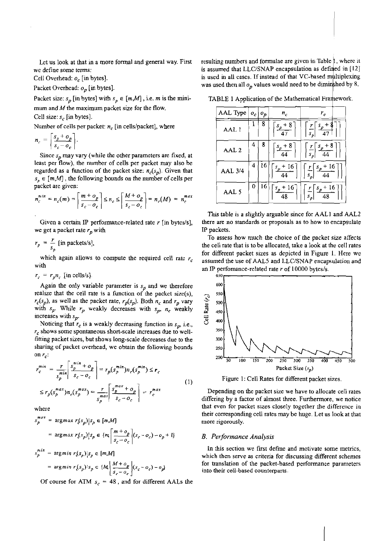Let us look at that in a more formal and general way. First we define some terms:

Ce11 Overhead: o, [in bytes].

Packet Overhead:  $o_p$  [in bytes].

Packet size:  $s_n$  [in bytes] with  $s_n \in [m, M]$ , i.e. *m* is the minimum and  $M$  the maximum packet size for the flow.

Cell size:  $s_{c}$  [in bytes].

Number of cells per packet:  $n_c$  [in cells/packet], where

 $n_c = \left[\frac{s_p + o_p}{s_c - o_c}\right].$ 

Since  $s_p$  may vary (while the other parameters are fixed, at least per flow), the number of cells per packet may also be regarded as a function of the packet size:  $n_c(s_p)$ . Given that  $s_n \in [m,M]$ , the following bounds on the number of cells per packet are given:

$$
n_c^{min} = n_c(m) = \left\lceil \frac{m + o_p}{s_c - o_c} \right\rceil \le n_c \le \left\lceil \frac{M + o_p}{s_c - o_c} \right\rceil = n_c(M) = n_c^{max}
$$

Given a certain IP performance-related rate  $r$  [in bytes/s],

we get a packet rate 
$$
r_p
$$
 with  
 $r_p = \frac{r}{s_p}$  [in packets/s],

which again allows to compute the required cell rate  $r_c$ with

 $r_c = r_b n_c$  [in cells/s].

Again the only variable parameter is  $s_p$  and we therefore realize that the cell rate is a function of the packct size(s),  $r_c(s_p)$ , as well as the packet rate,  $r_p(s_p)$ . Both  $n_c$  and  $r_p$  vary with  $s_p$ . While  $r_p$  weakly decreases with  $s_p$ ,  $n_c$  weakly increases with  $s_p$ .

Noticing that  $r_c$  is a weakly decreasing function in  $s_p$ , i.e., *r,* shows some spontaneous short-scale increases due to wellfitting packet sizes, but shows long-scale decreases due to the sharing of packet overhead, we obtain the following bounds on  $r_c$ :

$$
r_c^{min} = \frac{r}{s_p^{min}} \left[ \frac{s_p^{min} + o_p}{s_c - o_c} \right] = r_p(s_p^{min}) n_c(s_p^{min}) \le r_c
$$
  

$$
\le r_p(s_p^{max}) n_c(s_p^{max}) = \frac{r}{s_p^{max}} \left[ \frac{s_p^{max} + o_p}{s_c - o_c} \right] = r_c^{max}
$$
 (1)

where

$$
s_p^{max} = \operatorname{argmax} r(s_p) | s_p \in [m, M]
$$
  
= 
$$
\operatorname{argmax} r(s_p) | s_p \in \{m \} \left[ \frac{m + o_p}{s_c - o_c} \right] (s_c - o_c) - o_p + 1
$$

$$
s_p^{min} = \operatorname{argmin} r(s_p) | s_p \in [m, M]
$$
  
= \operatorname{argmin} r(s\_p) | s\_p \in \{M\} \left| \frac{M + o\_p}{s\_c - o\_c} \right| (s\_c - o\_c) - o\_p

Of course for ATM  $s_c = 48$ , and for different AALs the

resulting numbers and formulae are given in Table 1, where it is assumed that  $LLC/SNAP$  encapsulation as defined in  $[12]$ is used in all cases. If instead of that VC-based multiplexing was used then all  $o_p$  values would need to be diminshed by 8.

TABLE 1 Application of the Mathematical Framework.

| AAL Type         | $ o_c o_p$ |    | $n_c$                  | $r_c$                                             |
|------------------|------------|----|------------------------|---------------------------------------------------|
| AAL <sub>1</sub> |            | 8  | $s_p + 8$<br>47        | $rac{r}{s_p}$<br>$S_{\rho}$ +<br>47               |
| AAL <sub>2</sub> | 4          | 8  | $S_p + 8$              | $\frac{r}{s_p} \left[ \frac{s_p + 8}{44} \right]$ |
| <b>AAL 3/4</b>   | 4          | 16 | $s_p + 16$             | $\frac{r}{s_p} \frac{s_p + 16}{44}$               |
| AAL <sub>5</sub> | 0          | 16 | $\lceil s_p+16 \rceil$ | $\frac{r}{\sqrt{2}}$ $s_p + 16$                   |

This table is a slightly arguable since for AAL1 and AAL2 there are no standards or proposals as to how to encapsulate IP packets.

To assess how much the choice of the packet size affects the cell rate that is to be allocated, take a look at the cell rates for different packet sizes as depicted in Figure I. Here we assumed the use of AAL5 and LLC/SNAP encapsulation and an **iP** perfomance-related rate *r* of 10000 bytesls.



Figure 1: Cell Rates for different packet sizes.

Depending on the packet size we have to allocate cell rates differing by a factor of almost three. Furthermore, we notice that even for packet sizes closely together the difference in their corresponding ceU rates may be huge. Let us look at that more rigorously.

## *B. Performance Anaiysis*

In this section we first defme and motivate some metrics. which **then** serve as cnteria for discussing different schemes for translation of the packet-based performance parameters into their cell-based counterparts.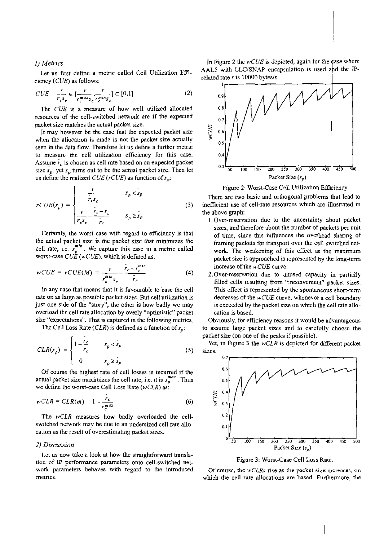#### 1) *Metrics*

Let us first define a metric called Cell Utilization Efficiency *(CUE)* as follows:

$$
CUE = \frac{r}{r_c s_c} \in \left[\frac{r}{r_c^{max} s_c}, \frac{r}{r_c^{min} s_c}\right] \subset [0,1]
$$
 (2)

The *CUE* is a measure of how well utilized allocated resources of the cell-switched network are if the expected packet size matches the actual packet size.

It may however be the case that the expected packet size when the allocation is made is not the packet size actually seen in the data flow. Therefore let us defme a fixther metric to measure the cell utilization efficiency for this case. Assume  $r_c$  is chosen as cell rate based on an expected packet size  $s_p$ , yet  $s_p$  turns out to be the actual packet size. Then let us define the realized *CUE* (*rCUE*) as function of  $s_p$ :

$$
rCUE(s_p) = \begin{cases} \frac{r}{r_c s_c} & s_p < \bar{s}_p \\ \frac{r}{r_c s_c} - \frac{r_c - r_c}{r_c} & s_p \ge \bar{s}_p \end{cases}
$$
(3)

Certainly, the worst case with regard to efficiency is that the actual packet size is the packet size that minimizes the cell rate, i.e.  $s_p^{min}$ . We capture this case in a metric called worst-case *CUE (wCUE),* which is defined as:

$$
wCUE = rCUE(M) = \frac{r}{r_c^{min} s_c} - \frac{r_c - r_c^{min}}{\bar{r}_c}
$$
 (4)

In any case that means that it is favourable to base the cell rate on as large as possible packet sizes. But cell utilization is just one side of the "story", the other is how badly we may overload the cell rate allocation by overly "optimistic" packet size "expectations". That is captured in the following metrics.

The Cell Loss Rate *(CLR)* is defined as a function of  $s_n$ :

$$
CLR(s_p) = \begin{cases} 1 - \frac{\dot{r}_c}{r_c} & s_p < \dot{s}_p \\ 0 & s_p \ge \dot{s}_p \end{cases}
$$
 (5)

Of course the highest rate of cell losses is incuned if the actual packet size maximizes the cell rate, i.e. it is  $s_p^{max}$ . Thus we defme the worst-case Ce11 Loss Rate *(wCLR)* as:

*wCLR* = 
$$
CLR(m) = 1 - \frac{r_c}{r_c^{max}}
$$
 (6)

The *wCLR* measures how badly overloaded the cellswitched network may be due to an undersized cell rate allocation as the rcsult of overestimating packet sizes.

#### *2) Discussion*

Let us now take a look at how the straightforward translation of **E'** perfonnance Parameters onto cell-switched network parameters behaves with regard to the introduced metncs.

In Figure 2 the  $wCUE$  is depicted, again for the case where AAL5 with LLC/SNAP encapsulation is used and the IPrelated rate  $r$  is 10000 bytes/s.



Figure 2: Worst-Case Cell Utilization Efficiency.

Tnere are two basic and orthogonal problems that lead to inefficient use of cell-rate resources which are illusirated in the above graph:

- I.Over-reservation due to the uncertainty about packet sizes, and therefore about the number of packets per unit of time, since this influences the overhead shanng of framing packets for transport over the cell-switched network. The weakening of this effect as the maximum packet size is approached is represented by the long-term increase of the *wCUE* curve.
- 2. Over-reservation due to unused capacity in partially filled cells resulting from "inconvenient" packet sizes. This effect is represented by the spontaneous short-term decreases of the *wCUE* curve, whenever a cell boundary is exceeded by the packet size on which the cell rate allocation is based.

Obviously, for efficiency reasons it would be advantageous to assume large packet sizes and to carefully choose the packet size (on one of the peaks if possible).

Yet, in Figure 3 the *wCLR* is depicted for different packet sizes.



Figure 3: Worst-Case Ce11 Loss Rate

Of course, the *wCLRs* nse as the packet **size** increases, on which the cell rate allocations are based. Furthermore, the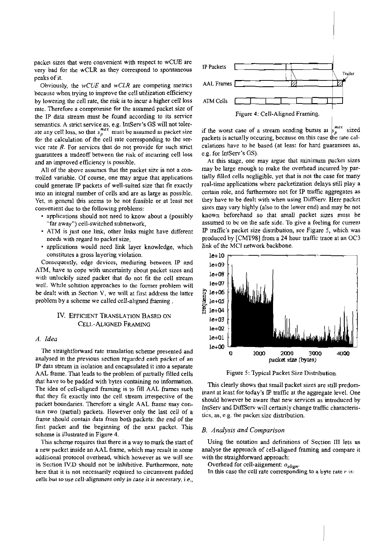packei sizes that were convenient with respect to wCUE are very bad for ihe wCLR as they correspond to spontaneous peaks of it.

Obviously, the *wCljE* and *wCLR* are competing metrics because when trying to improve the cell utilization efficiency by lowering the cell rate, the risk is to incur a higher cell loss rate. Therefore a compromise for the assumed packet size of the IP data stream must be found according to its service semantics. A sirict service as, e.g. IntServ's GS will not toierate any cell loss, so that  $s_p^{\text{max}}$  must be assumed as packet size for the calculation of the cell rate corresponding to the service rate  $R$ . For services that do not provide for such strict guarantees a tradeoff between the risk of incurring cell loss and an improved efficiency is possible.

All of the above assumes that the packet size is not a controlled variable. Of Course, one may argue that applications could generate IP packets of well-suited size that fit exactly into an integral number of cells and are as large as possible. Yet, in general this seems to be not feasible or at least not convenient due to the following problems:

- applications should not need to know about a (possibly "far away") cell-switched subnetwork,
- ATM is just one link, other links might have different needs with regard to packet size,
- applications would need link layer knowledge, which constitutes a gross layering violation.

Conscquently, edge devices, mediating between IP and ATM, have to cope with uncertainty about packet sizes and with unluckily sized packet that do not fit the cell stream well. While solution approaches to the former problem will be dealt with in Section V, we will at first address the latter problem hy a scheme we called cell-aligned framing .

## IV. EFFICIENT TRANSLATION BASED ON CELL-ALIGNED FRAMING

#### *A. Idea*

The straightforward rate translation scheme presented and analysed in the previous section regarded eaeh packet of an **IP** data stteam in isolation and encapsulated it into a separate AAL frame. That leads to the problem of partially filled cells that have to be padded with bytes containing no information. The idea of cell-aligned framing is to fill AAL frames sueh that they fit exactly into the cell stream irrespective of the packet boundaries. Therefore a single AAL frame may contain two (partial) packets. However only the last cell of a frame should contain data from both packets: the end of the first packet and the beginning of the next packet. This scheme is illustrated in Figure **4.** 

This scheme requires that there 1s a way to mark the start of a new packet inside an AAL frame, which may result in some additional protocol ovcrhead, which however as we will see in Section 1V.D should not be inhibitive. Furthermore, note here that it is not necessarily required to circumvent padded cells bui **10** use cell-alignmcnt only in case **it** is necessary. i.e.,



if the worst case of a stream sending bursis ai  $\int_{p}^{max}$  sized packets is actually occuring, because on this case the rate calculations have to be based (at least for hard guaraniees as, e.g. for IntServ's GS).

At this stage, one may argue that minimum packei sizes may be large enough to make the overhead incurred by partially filled cells negligible, yet that is noi the case for rnany real-time applications where packetization delays still play a certain role, and furthermore not for IP traffic aggregates as they have to be dealt with when using DiffServ. Here packet sizes may vary highly (also to the lower end) and may be not known beforehand so that small packet sizes musi be assumed to be on the safe sidc. To give a feeling for curreni **F'** traffic's packet size distribution, see Figure *5,* which was produced by [CMT98] from a **24** hour ttaffic ttace at an OC3 link of the MCI network backbone.



Figure 5: Typical Packet Size Distribution

This clearly shows that small packet sizes are still predominant at least for today's IP traffic at the aggregate level. One should however be aware that new services as introduced by IntServ and DiffServ will certainly change traffic characteristics, as, e.g. the packet size distribution.

### *B. Analysis and Comparison*

Using the notation and definitions of Section 111 lets us analyse the approach of cell-aligned framing and compare it with the straighforward approach:

Overhead for cell-alignment:  $o_{align}$ .

In this case the cell rate corresponding to a byte rate  $r$  is: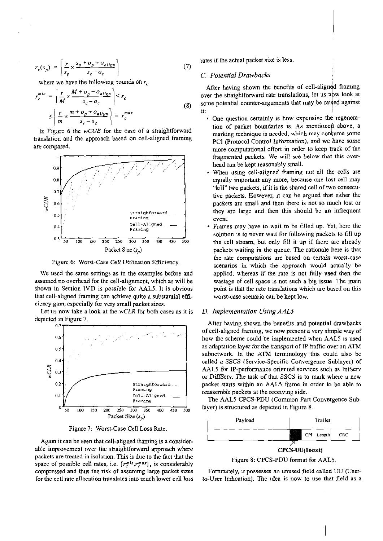$$
r_c(s_p) = \left[ \frac{r}{s_p} \times \frac{s_p + o_p + o_{align}}{s_c - o_c} \right]
$$
 (7)

where we have the following bounds on *r,* 

$$
r_c^{min} = \left| \frac{r}{M} \times \frac{M + o_p + o_{align}}{s_c - o_c} \right| \le r_c
$$
  

$$
\le \left| \frac{r}{m} \times \frac{m + o_p + o_{align}}{s_c - o_c} \right| = r_c^{max}
$$
 (8)

In Figure 6 the *wCUE* for the case of a straightforward translation and the approach based on cell-aligned framing are compared.



Pigure 6: Worst-Case Ce11 Utilization Efficiency.

We used the same settings as in the examples before and assumed no overhead for the cell-alignment, which as will be shown in Section IVD is possible for AALS. It is obvious that cell-aligned framing can achieve quite a substantial efflciency gain, especially for very small packet sizes.

Let us now take a look at the *wCLR* for both cases as it is depicted in Figure 7.



Figure 7: Worst-Case Ce11 Loss Rate.

Again it can be seen that cell-aligned framing is a considerable improvement over the straightforward approach where packets are treated in isolation. This is due to the fact that the space of possible cell rates, i.e.  $[r_c^{min}, r_c^{max}]$ , is considerably compressed and thus the risk of assummg large packet sizes for the cell rate allocation translates into much lower cell loss rates if the actual packet size is less.

### *C. Potential Drawbacks*

After having shown the benefits of cell-aligned framing over the straightforward rate translations, let us now look at some potential counter-arguments that may be raised against it:

- One question certainly is how expensive the regeneration of packet boundaries is. As mentioned above, a marking technique is needed, which may consume some One question certainly is how expensive the regeneration of packet boundaries is. As mentioned above, a marking technique is needed, which may consume some PCI (Protocol Control Information), and we have some PCI (Protocol Control Information), and we have some more computational effort in order to keep track of the fragmented packets. Wc will see below that this overhead can be kept reasonably small.
- When using cell-aligned framing not all the cells are equally important any more, because one lost cell may "kill" two packets, if it is the shared cell of two consecutive packets. However, it can be argued that either the packets are small and then there is not so much lost or they are large and then this should be an infrequent event.
- Frames may have to wait to be filled up. Yet, here the solution is to never walt for following packets to fill up the cell stream, but only fill it up if there are already packets waiting in the queue. The rationale here is that the rate computations are based on certain warst-case scenarios in which the approach would actually be applied, whereas if the rate is not fully used then the wastage of cell space is not such a big issue. The main point is that the rate translations which are based on this worst-case scenario can be kept low.

#### *D. Impiementation UsingAAL5*

After having shown the benefits and potential drawbacks of cell-aligned frarning, we now prcsent a very simple way of how the scheme could be implemented when AAL5 1s used as adaptation layer for the iransport of 1P traffic over an ATM subnetwork. In the ATM terminology this could also be called a SSCS (Sewice-Specific Convergence Sublayer) of AAL5 for IP-performance oriented services such as IntServ or DiffServ. The task of that SSCS is to mark where a new packet starts within an AAL5 frame in order to be able to reassemble packets at the receiving side.

The AAL5 CPCS-PDU (Common Part Convergence Sublayer) is structured as depicted in Figure 8.



Figure 8: CPCS-PDU format for AALS.

Fortunately, it possesses an unused field called UU (User-10-User Indication). The idea is now to use that field as a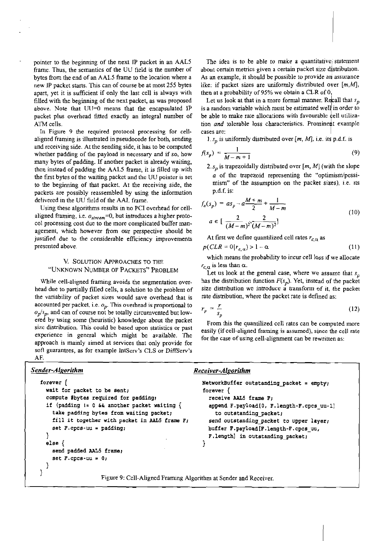pointer to the beginning of the next IP packet in an AALS frame. Thus, the semantics of the UU field is the number of bytes from the end of an AAL5 frame to the location where a new IP packet starts. This can of course be at most 255 bytes apart, yet it is sufficient if only the last cell is always with filled with the beginning of the next packet, as was proposed above. Note that  $UU=0$  means that the encapsulated IP packet plus overhead fiited exactly an integral number of ATM cells.

In Figure 9 thc required protocol processing for cellaligned framing is illustrated in pseudocode for both, sending and receiving side. At the sending side, it has to be computed whether padding of the payload is necessary and if so, how many bytes of padding. If another packet is already waiting, then instead of padding the AALS frame, it is filled up with the first bytes of the waiting packet and the Uü pointer is set to the beginning of that packet. At the receiving side, the packets are possibly reassembled by using the information delivered in the UU field of the AAL frame. In the set of padding. If another packet is already waiting,<br>  $\frac{1}{2}$  or  $\frac{1}{2}$  is trapezoidally distributed over [in the beginning of that packet and the UU pointer is set<br>
the beginning of that packet. At the recei

aligned framing, i.e.  $o_{s}$   $= 0$ , but introduces a higher protocol processing cost due to the more complicated buffer man-<br>agement, which however from our perspective should be<br>justified due to the considerable efficiency improvements At first we define quantilized cell rates  $r_{c,\alpha}$ justified due to the considerable efficiency improvements At first we define quantilized cell rates  $r_{c,\alpha}$  as <br> $p(CLR = 0 | r_{c,\alpha}) > 1 - \alpha$  (11)

# V. SOLUTION APPROACHES TO THE

head due to partially filled cells, a solution to the problem of size distribution we introduce a transform of it, the packet the variability of packet sizes would save overhead that is atte distribution, where the packet the variability of packet sizes would save overhead that is accounted per packet, i.e.  $o_p$ . This overhead is proportional to  $o_p/s_p$ , and can of course not be totally circumvented but lowered by using some (heuristic) knowledge about the packet<br>size distribution. This could be based upon statistics or past<br>experience in general which might be available. The<br>approach is mainly aimed at services that only pr soft guarantees, as for example IntServ's CLS or DiffServ's AF.

```
forever {
  wait for packet to be sent;
  compute #bytes required for padding;
  I if (padding I= 0 L& another packet waiting { 
    take padding bytes from waiting packet; 
    fill it together with packet in AAL5 frame F;
    set F.cpcs-uu = padding; 
  1 
  else { 
    send padded AALS frame; 
    Set F.cpcs-uu = 0; 
  1
```
The idea is to be able to make a quantitative statement about certain metrics given a certain packet size djstribution. As an example, it shouId be possible to provide an assurance like: if packet sizes are uniformly distributed over  $[m,M]$ , then at a probability of 95% we obtain a CLR of  $0<sub>i</sub>$ 

Let us look at that in a more formal manner. Recall that  $s_p$  is a random variable which must be estimated well in order to be able to make rate allocations with favourable cell utilization *and* tolerable loss characteristics. Prominent example cases are: I

is uniformly distributed over  $[m, M]$ , i.e. its p.d.f. is

$$
f(s_p) = \frac{1}{M - m + 1} \tag{9}
$$

2,  $s_p$  is trapezoidally distributed over [m, M] (with the slope  $a$  of the trapezoid representing the "optimism/pessimism" of the assumption on the packet sizes), 1.e. its p.d.f. is:

$$
f_a(s_p) = as_p - a\frac{M+m}{2} + \frac{1}{M-m}
$$
  
\n
$$
a \in \left[\frac{2}{(M-m)^2} \cdot \frac{2}{(M-m)^2}\right]
$$
 (10)

$$
p(CLR = 0 | r_{c,\alpha}) > 1 - \alpha \tag{11}
$$

which means the probability to incur cell loss if we allocate  $r_{c,\alpha}$  is less than  $\alpha$ .

**FIGURER OF PACKETS**" PROBLEM Let us look at the general case, where we assume that  $s_n$ While cell-aligned framing avoids the segmentation over- has the distribution function  $F(s_p)$ . Yet, instead of the packet

$$
r_p = \frac{r}{s_p} \tag{12}
$$

# <sup>I</sup>*Sende~Algorithm Receiver-Alporithm* 1  $NetworkBuffer$  outstanding packet =  $empty;$ forever { receive **AALS** frame P; append F.payload[O, F.length-F.cpcs-uu-11 to outstanding packet; send outstanding packet to upper layer; buffer **F.payload[F.length-F.cpcs-uu,**  F.length] in outstanding packet; 3 'I Figure 9: Cell-Aligned Framng Algorithm at Sender and Receiver.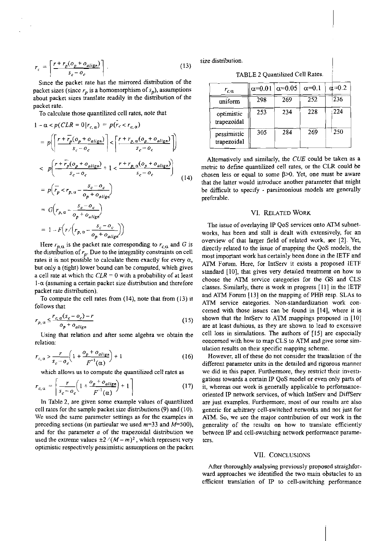$$
r_c = \left\lceil \frac{r + r_p(o_p + o_{\text{align}})}{s_c - o_c} \right\rceil.
$$
 (13) size distribution.   
TABLE 2 Quantilized Cell Rates.

Since the packet rate has the mirrored distrihution of the packet sizes (since  $r_p$  is a homomorphism of  $s_p$ ), assumptions about packet sizes translate readily in the distribution of the packet rate.

To calculate those quantilized cell rates, note that

 $\overline{1}$ 

$$
-\alpha < p(CLR = 0 | r_{c,\alpha}) = p(r_c < r_{c,\alpha})
$$
  
\n
$$
= p\left(\left[\frac{r + \overline{r_p}(o_p + o_{align})}{s_c - o_c}\right] \right) < \left[\frac{r + r_{p,\alpha}(o_p + o_{align})}{s_c - o_c}\right]\right)
$$
  
\n
$$
< p\left(\frac{r + \overline{r_p}(o_p + o_{align})}{s_c - o_c} + 1 < \frac{r + r_{p,\alpha}(o_p + o_{align})}{s_c - o_c}\right)
$$
  
\n
$$
= p\left(\overline{r_p} < r_{p,\alpha} - \frac{s_c - o_c}{o_p + o_{align}}\right)
$$
  
\n
$$
= G\left(r_{p,\alpha} - \frac{s_c - o_c}{o_p + o_{align}}\right)
$$
  
\n
$$
= 1 - F\left(r/\left(r_{p,\alpha} - \frac{s_c - o_c}{o_p + o_{align}}\right)\right)
$$
 (14)

Here  $r_{p,\alpha}$  is the packet rate corresponding to  $r_{c,\alpha}$  and G is the distribution of  $r_p$ . Due to the integrality constraints on cell rates it is not possible to calculate them exactly for every  $\alpha$ , but only a (tight) lower bound can be computed, whieh gives a cell rate at which the  $CLR = 0$  with a probability of at least  $1-\alpha$  (assuming a certain packet size distribution and therefore packet rate distribution).

To compute the cell rates fiom (14), note that from (13) it follows that

$$
r_{p,\alpha} \le \frac{r_{c,\alpha}(s_c - o_c) - r}{o_p + o_{align}}\tag{15}
$$

Using that relation and after some algebra we ohtain the relation:

$$
r_{c,\,\alpha} > \frac{r}{s_c - o_c} \left( 1 + \frac{o_p + o_{\text{align}}}{F^{-1}(\alpha)} \right) + 1 \tag{16}
$$

which allows us to compute the quantilized cell rates as

$$
r_{c,\,\alpha} = \left| \frac{r}{s_c - o_c} \left( 1 + \frac{o_p + o_{align}}{F^{-1}(\alpha)} \right) + 1 \right| \tag{17}
$$

**in** Table 2, are given some example values of quantilized cell rates for the sample packet size distributions (9) and (10). We used the sarne parameter settings as for the examples in preceding sections (in particular we used  $m=33$  and  $M=500$ ), and for the parameter **o** of the trapezoidal distribution we used the extreme values  $\pm 2/(M-m)^2$ , which represent very optimistic respectively pessimistic assumptions on the packet size distribution.

TABLE 2 Ouantilized Cell Rates.

| $r_{c,\alpha}$             | $\alpha = 0.01$ | $\alpha$ =0.05 | $\alpha=0.1$ | $d=0.2$      |
|----------------------------|-----------------|----------------|--------------|--------------|
| uniform                    | 298             | 269            | 2.52         | $\sqrt{236}$ |
| optimistic<br>trapezoidal  | 253             | 234            | 228          | : 224        |
| pessimistic<br>trapezoidal | 305             | 284            | 269          | 250          |

Alternatively and sirnilarly, the *CUE* could be taken as a rnetric to define quantilized cell rates, or the CLR could be chosen less or equal to some  $\beta$  >0. Yet, one must be aware that the latter would introduce another pararneter that rnight be difficult to specify - parsimonious models are generally preferable.

#### VI. RELATED WORK

The issue of overlaying IP QoS services onto ATM subnetworks, has been and still is dealt with extensively, for an overview of that larger field of related work, see [2]. Yet, directly related to the issue of mapping the QoS models, the most important work has certainly been done in the IETF and ATM Forum. Here, for IntServ it exists a proposed IETF standard [10], that gives very detailed treatment on how to choose the ATM service categories for the GS and CLS classes. Similarly, there is work in progress  $[11]$  in the IETF and ATM Fomm [I31 on the mapping of PHB resp. SLAs to ATM service eategories. Non-standardization work concerned with those issues can be found in [14], where it is shown that the IntServ to ATM mappings proposed in [10] are at least dubious. as they are shown to lead to excessive cell loss in simulations. The authors of [15] are especially eoncerned with how to map CLS to ATM and give some simulation results on their specific mapping scheme.

However, all of these do not consider the translation of the different parameter units in the detailed and rigorous manner we did in this paper. Furthermore, they restrict their investigations towards a eertain IP QoS rnodel or even only parts of it, whereas out work is generally applicable to performanceoriented IP network services, of which lntServ and DiffSem are just examples. Furthermore, most of our results are also generic for arbitrary cell-switched networks and not just for ATM. So, we see the major contribution of our work in the generality of the results on how to translate efficiently between IP and cell-switching network performance parameters.

#### VII. CONCLUSIONS

After thoroughly analysing previously proposed straighforward approaches we identified the two main obstacles to an efticient translation of IP to cell-switching performance